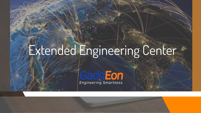# Extended Engineering Center

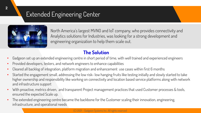# Extended Engineering Center



North America's largest MVNO and IoT company, who provides connectivity and Analytics solutions for Industries, was looking for a strong development and engineering organization to help them scale out.

## **The Solution**

- Gadgeon set up an extended engineering centre in short period of time, with well trained and experienced engineers
- Provided developers, testers, and network engineers to enhance capabilities
- Cleared all backlog of integration, platform migration and enhancement use cases within first 6 months
- Started the engagement small, addressing the low risk- low hanging fruits like testing initially and slowly started to take higher ownership and responsibility like working on connectivity and location based service platforms along with network and infrastructure support
- With proactive, metrics driven, and transparent Project management practices that used Customer processes & tools, ensured the expected Scale up.
- The extended engineering centre became the backbone for the Customer scaling their innovation, engineering, infrastructure, and operational needs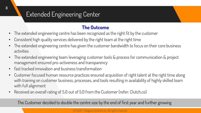# Extended Engineering Center

### **The Outcome**

- The extended engineering centre has been recognized as the right fit by the customer
- Consistent high quality services delivered by the right team at the right time
- The extended engineering centre has given the customer bandwidth to focus on their core business activities
- The extended engineering team leveraging customer tools & process for communication & project management ensured pro-activeness and transparency
- Fast tracked innovation and business transformation
- Customer focused human resource practices ensured acquisition of right talent at the right time along with training on customer business, processes, and tools resulting in availability of highly skilled team with full alignment
- Received an overall rating of 5.0 out of 5.0 from the Customer (refer: Clutch.co)

The Customer decided to double the centre size by the end of first year and further growing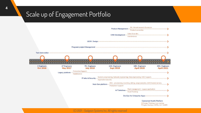# Scale up of Engagement Portfolio

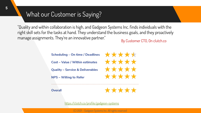# What our Customer is Saying?

"Quality and within collaboration is high, and Gadgeon Systems Inc. finds individuals with the right skill sets for the tasks at hand. They understand the business goals, and they proactively manage assignments. They're an innovative partner." By Customer CTO, On clutch.co

**Scheduling - On time / Deadlines** Cost - Value / Within estimates **Quality - Service & Deliverables NPS - Willing to Refer** 

\*\*\*\*\* \*\*\*\*\* \*\*\*\*\* \*\*\*\*\*

**Overall** 

\*\*\*\*\*

<https://clutch.co/profile/gadgeon-systems>

(C) 2021 – Gadgeon Systems Inc. All rights reserved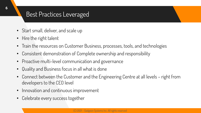# Best Practices Leveraged

- Start small, deliver, and scale up
- Hire the right talent
- Train the resources on Customer Business, processes, tools, and technologies
- Consistent demonstration of Complete ownership and responsibility
- Proactive multi-level communication and governance
- Quality and Business focus in all what is done
- Connect between the Customer and the Engineering Centre at all levels right from developers to the CEO level
- Innovation and continuous improvement
- Celebrate every success together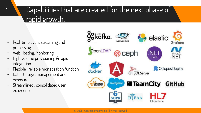# Capabilities that are created for the next phase of rapid growth.

- Real-time event streaming and processing
- Web Hosting, Monitoring
- High volume provisioning & rapid integration.
- Flexible , reliable monetization function
- Data storage , management and exposure
- Streamlined, consolidated user experience.